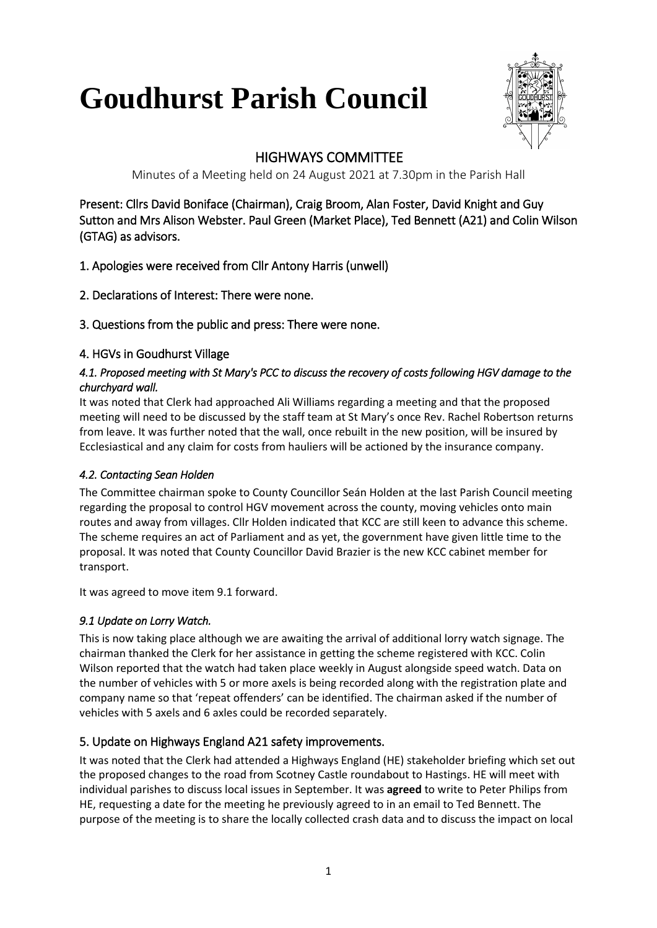# **Goudhurst Parish Council**



# HIGHWAYS COMMITTEE

Minutes of a Meeting held on 24 August 2021 at 7.30pm in the Parish Hall

Present: Cllrs David Boniface (Chairman), Craig Broom, Alan Foster, David Knight and Guy Sutton and Mrs Alison Webster. Paul Green (Market Place), Ted Bennett (A21) and Colin Wilson (GTAG) as advisors.

# 1. Apologies were received from Cllr Antony Harris (unwell)

- 2. Declarations of Interest: There were none.
- 3. Questions from the public and press: There were none.

# 4. HGVs in Goudhurst Village

# *4.1. Proposed meeting with St Mary's PCC to discuss the recovery of costs following HGV damage to the churchyard wall.*

It was noted that Clerk had approached Ali Williams regarding a meeting and that the proposed meeting will need to be discussed by the staff team at St Mary's once Rev. Rachel Robertson returns from leave. It was further noted that the wall, once rebuilt in the new position, will be insured by Ecclesiastical and any claim for costs from hauliers will be actioned by the insurance company.

# *4.2. Contacting Sean Holden*

The Committee chairman spoke to County Councillor Seán Holden at the last Parish Council meeting regarding the proposal to control HGV movement across the county, moving vehicles onto main routes and away from villages. Cllr Holden indicated that KCC are still keen to advance this scheme. The scheme requires an act of Parliament and as yet, the government have given little time to the proposal. It was noted that County Councillor David Brazier is the new KCC cabinet member for transport.

It was agreed to move item 9.1 forward.

# *9.1 Update on Lorry Watch.*

This is now taking place although we are awaiting the arrival of additional lorry watch signage. The chairman thanked the Clerk for her assistance in getting the scheme registered with KCC. Colin Wilson reported that the watch had taken place weekly in August alongside speed watch. Data on the number of vehicles with 5 or more axels is being recorded along with the registration plate and company name so that 'repeat offenders' can be identified. The chairman asked if the number of vehicles with 5 axels and 6 axles could be recorded separately.

# 5. Update on Highways England A21 safety improvements.

It was noted that the Clerk had attended a Highways England (HE) stakeholder briefing which set out the proposed changes to the road from Scotney Castle roundabout to Hastings. HE will meet with individual parishes to discuss local issues in September. It was **agreed** to write to Peter Philips from HE, requesting a date for the meeting he previously agreed to in an email to Ted Bennett. The purpose of the meeting is to share the locally collected crash data and to discuss the impact on local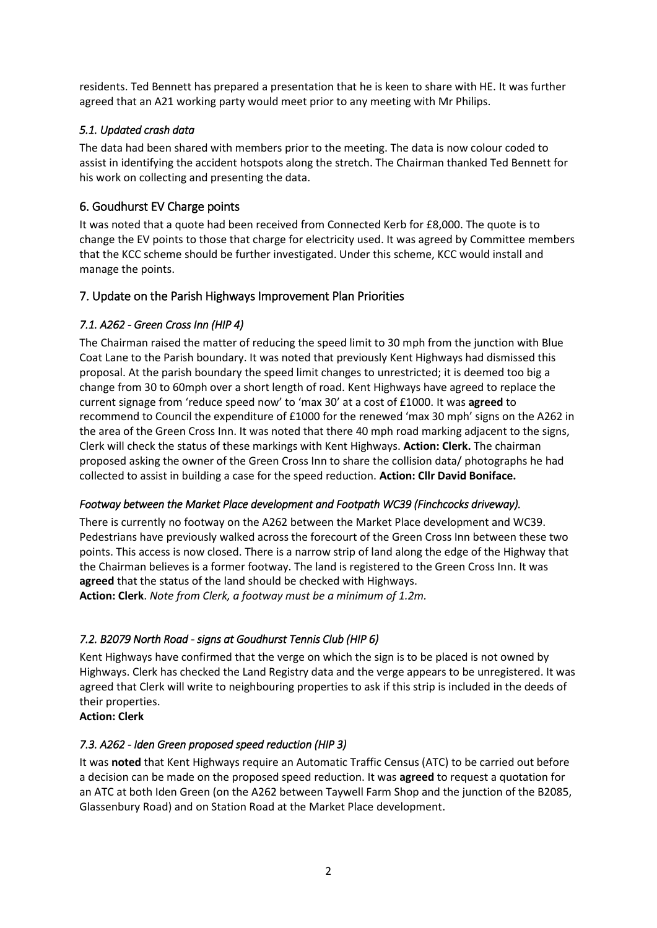residents. Ted Bennett has prepared a presentation that he is keen to share with HE. It was further agreed that an A21 working party would meet prior to any meeting with Mr Philips.

#### *5.1. Updated crash data*

The data had been shared with members prior to the meeting. The data is now colour coded to assist in identifying the accident hotspots along the stretch. The Chairman thanked Ted Bennett for his work on collecting and presenting the data.

## 6. Goudhurst EV Charge points

It was noted that a quote had been received from Connected Kerb for £8,000. The quote is to change the EV points to those that charge for electricity used. It was agreed by Committee members that the KCC scheme should be further investigated. Under this scheme, KCC would install and manage the points.

## 7. Update on the Parish Highways Improvement Plan Priorities

#### *7.1. A262 - Green Cross Inn (HIP 4)*

The Chairman raised the matter of reducing the speed limit to 30 mph from the junction with Blue Coat Lane to the Parish boundary. It was noted that previously Kent Highways had dismissed this proposal. At the parish boundary the speed limit changes to unrestricted; it is deemed too big a change from 30 to 60mph over a short length of road. Kent Highways have agreed to replace the current signage from 'reduce speed now' to 'max 30' at a cost of £1000. It was **agreed** to recommend to Council the expenditure of £1000 for the renewed 'max 30 mph' signs on the A262 in the area of the Green Cross Inn. It was noted that there 40 mph road marking adjacent to the signs, Clerk will check the status of these markings with Kent Highways. **Action: Clerk.** The chairman proposed asking the owner of the Green Cross Inn to share the collision data/ photographs he had collected to assist in building a case for the speed reduction. **Action: Cllr David Boniface.** 

#### *Footway between the Market Place development and Footpath WC39 (Finchcocks driveway).*

There is currently no footway on the A262 between the Market Place development and WC39. Pedestrians have previously walked across the forecourt of the Green Cross Inn between these two points. This access is now closed. There is a narrow strip of land along the edge of the Highway that the Chairman believes is a former footway. The land is registered to the Green Cross Inn. It was **agreed** that the status of the land should be checked with Highways. **Action: Clerk**. *Note from Clerk, a footway must be a minimum of 1.2m.*

## *7.2. B2079 North Road - signs at Goudhurst Tennis Club (HIP 6)*

Kent Highways have confirmed that the verge on which the sign is to be placed is not owned by Highways. Clerk has checked the Land Registry data and the verge appears to be unregistered. It was agreed that Clerk will write to neighbouring properties to ask if this strip is included in the deeds of their properties.

## **Action: Clerk**

#### *7.3. A262 - Iden Green proposed speed reduction (HIP 3)*

It was **noted** that Kent Highways require an Automatic Traffic Census (ATC) to be carried out before a decision can be made on the proposed speed reduction. It was **agreed** to request a quotation for an ATC at both Iden Green (on the A262 between Taywell Farm Shop and the junction of the B2085, Glassenbury Road) and on Station Road at the Market Place development.